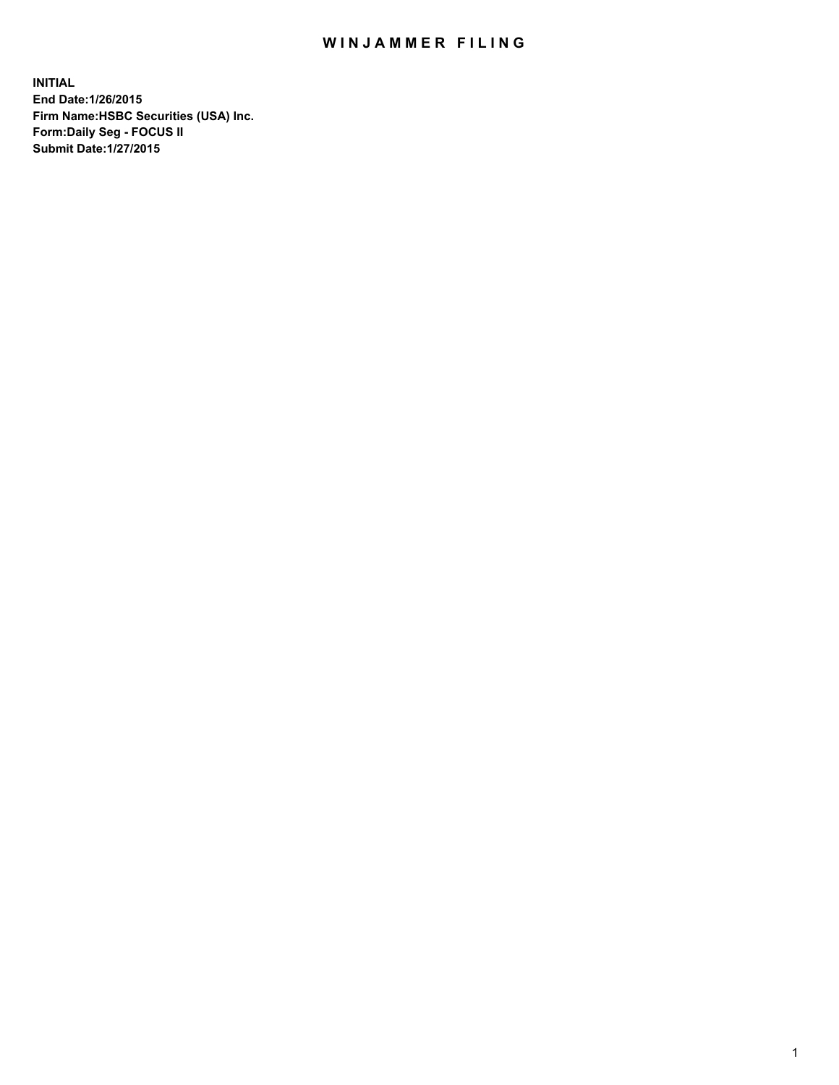## WIN JAMMER FILING

**INITIAL End Date:1/26/2015 Firm Name:HSBC Securities (USA) Inc. Form:Daily Seg - FOCUS II Submit Date:1/27/2015**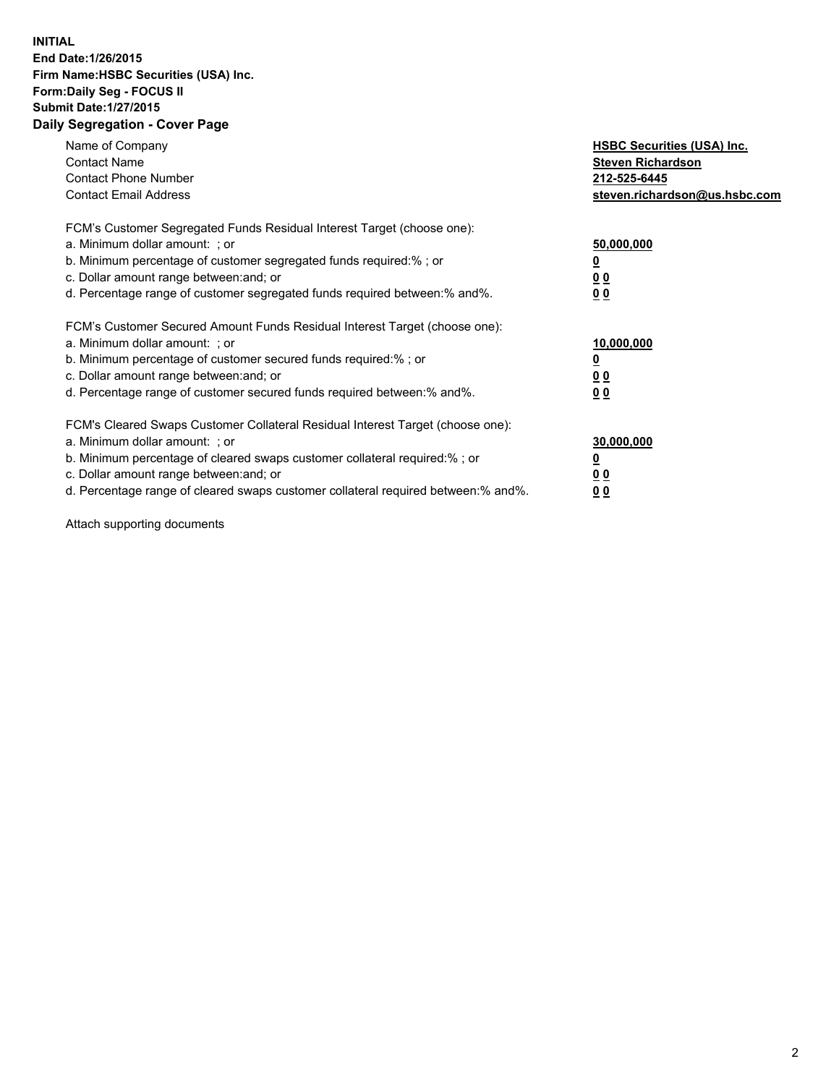## **INITIAL End Date:1/26/2015 Firm Name:HSBC Securities (USA) Inc. Form:Daily Seg - FOCUS II Submit Date:1/27/2015 Daily Segregation - Cover Page**

| Name of Company<br><b>Contact Name</b><br><b>Contact Phone Number</b><br><b>Contact Email Address</b>                                                                                                                                                                                                                          | <b>HSBC Securities (USA) Inc.</b><br><b>Steven Richardson</b><br>212-525-6445<br>steven.richardson@us.hsbc.com |
|--------------------------------------------------------------------------------------------------------------------------------------------------------------------------------------------------------------------------------------------------------------------------------------------------------------------------------|----------------------------------------------------------------------------------------------------------------|
| FCM's Customer Segregated Funds Residual Interest Target (choose one):<br>a. Minimum dollar amount: ; or<br>b. Minimum percentage of customer segregated funds required:%; or<br>c. Dollar amount range between: and; or<br>d. Percentage range of customer segregated funds required between: % and %.                        | 50,000,000<br>0 <sub>0</sub><br>0 <sub>0</sub>                                                                 |
| FCM's Customer Secured Amount Funds Residual Interest Target (choose one):<br>a. Minimum dollar amount: ; or<br>b. Minimum percentage of customer secured funds required:%; or<br>c. Dollar amount range between: and; or<br>d. Percentage range of customer secured funds required between:% and%.                            | 10,000,000<br><u>0</u><br>0 <sub>0</sub><br>0 <sub>0</sub>                                                     |
| FCM's Cleared Swaps Customer Collateral Residual Interest Target (choose one):<br>a. Minimum dollar amount: ; or<br>b. Minimum percentage of cleared swaps customer collateral required:% ; or<br>c. Dollar amount range between: and; or<br>d. Percentage range of cleared swaps customer collateral required between:% and%. | 30,000,000<br>00<br><u>00</u>                                                                                  |

Attach supporting documents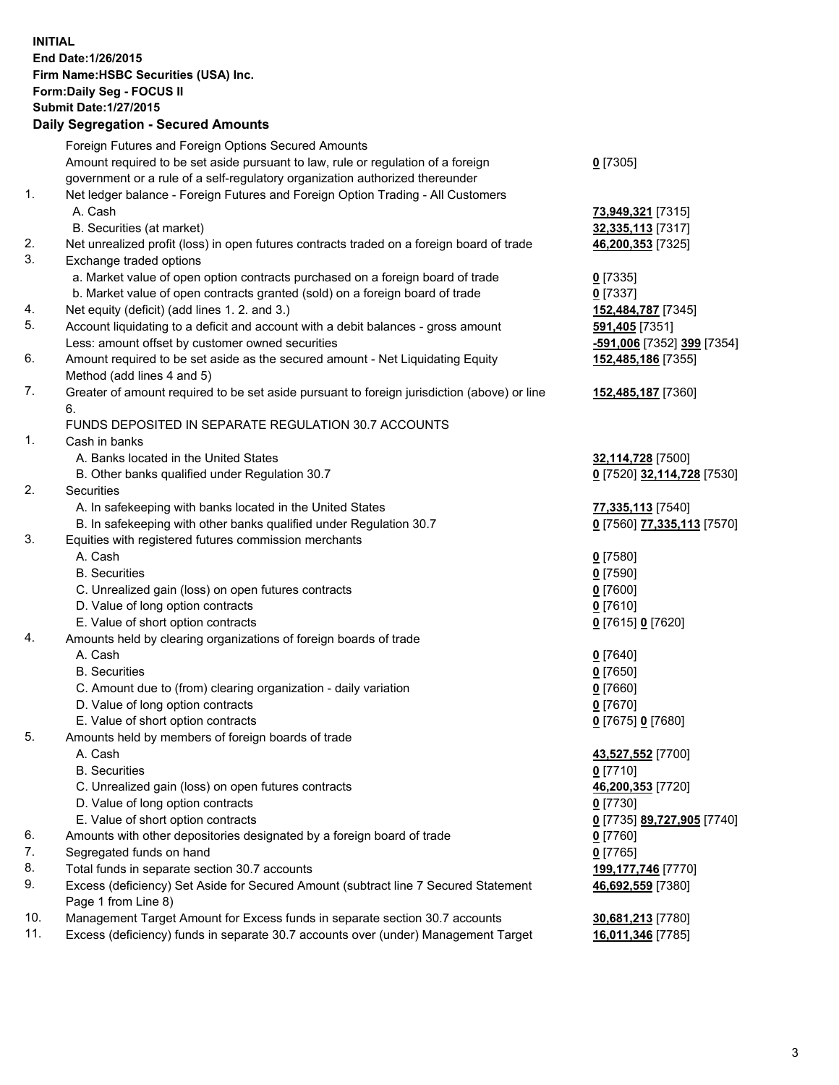**INITIAL End Date:1/26/2015 Firm Name:HSBC Securities (USA) Inc. Form:Daily Seg - FOCUS II Submit Date:1/27/2015 Daily Segregation - Secured Amounts**

|     | Foreign Futures and Foreign Options Secured Amounts                                         |                            |
|-----|---------------------------------------------------------------------------------------------|----------------------------|
|     | Amount required to be set aside pursuant to law, rule or regulation of a foreign            | $0$ [7305]                 |
|     | government or a rule of a self-regulatory organization authorized thereunder                |                            |
| 1.  | Net ledger balance - Foreign Futures and Foreign Option Trading - All Customers             |                            |
|     | A. Cash                                                                                     | 73,949,321 [7315]          |
|     | B. Securities (at market)                                                                   | 32,335,113 [7317]          |
| 2.  | Net unrealized profit (loss) in open futures contracts traded on a foreign board of trade   | 46,200,353 [7325]          |
| 3.  | Exchange traded options                                                                     |                            |
|     | a. Market value of open option contracts purchased on a foreign board of trade              | $0$ [7335]                 |
|     | b. Market value of open contracts granted (sold) on a foreign board of trade                | $0$ [7337]                 |
| 4.  | Net equity (deficit) (add lines 1.2. and 3.)                                                | 152,484,787 [7345]         |
| 5.  | Account liquidating to a deficit and account with a debit balances - gross amount           | 591,405 [7351]             |
|     | Less: amount offset by customer owned securities                                            | -591,006 [7352] 399 [7354] |
| 6.  | Amount required to be set aside as the secured amount - Net Liquidating Equity              | 152,485,186 [7355]         |
|     | Method (add lines 4 and 5)                                                                  |                            |
| 7.  | Greater of amount required to be set aside pursuant to foreign jurisdiction (above) or line | 152,485,187 [7360]         |
|     | 6.                                                                                          |                            |
|     | FUNDS DEPOSITED IN SEPARATE REGULATION 30.7 ACCOUNTS                                        |                            |
| 1.  | Cash in banks                                                                               |                            |
|     | A. Banks located in the United States                                                       | 32,114,728 [7500]          |
|     | B. Other banks qualified under Regulation 30.7                                              | 0 [7520] 32,114,728 [7530] |
| 2.  | Securities                                                                                  |                            |
|     | A. In safekeeping with banks located in the United States                                   | 77,335,113 [7540]          |
|     | B. In safekeeping with other banks qualified under Regulation 30.7                          | 0 [7560] 77,335,113 [7570] |
| 3.  | Equities with registered futures commission merchants                                       |                            |
|     | A. Cash                                                                                     | $0$ [7580]                 |
|     | <b>B.</b> Securities                                                                        | $0$ [7590]                 |
|     | C. Unrealized gain (loss) on open futures contracts                                         | $0$ [7600]                 |
|     | D. Value of long option contracts                                                           | $0$ [7610]                 |
|     | E. Value of short option contracts                                                          | 0 [7615] 0 [7620]          |
| 4.  | Amounts held by clearing organizations of foreign boards of trade                           |                            |
|     | A. Cash                                                                                     | $0$ [7640]                 |
|     | <b>B.</b> Securities                                                                        | $0$ [7650]                 |
|     | C. Amount due to (from) clearing organization - daily variation                             |                            |
|     | D. Value of long option contracts                                                           | $0$ [7660]                 |
|     | E. Value of short option contracts                                                          | $0$ [7670]                 |
| 5.  |                                                                                             | 0 [7675] 0 [7680]          |
|     | Amounts held by members of foreign boards of trade<br>A. Cash                               |                            |
|     |                                                                                             | 43,527,552 [7700]          |
|     | <b>B.</b> Securities                                                                        | $0$ [7710]                 |
|     | C. Unrealized gain (loss) on open futures contracts                                         | 46,200,353 [7720]          |
|     | D. Value of long option contracts                                                           | $0$ [7730]                 |
|     | E. Value of short option contracts                                                          | 0 [7735] 89,727,905 [7740] |
| 6.  | Amounts with other depositories designated by a foreign board of trade                      | $0$ [7760]                 |
| 7.  | Segregated funds on hand                                                                    | $0$ [7765]                 |
| 8.  | Total funds in separate section 30.7 accounts                                               | 199,177,746 [7770]         |
| 9.  | Excess (deficiency) Set Aside for Secured Amount (subtract line 7 Secured Statement         | 46,692,559 [7380]          |
|     | Page 1 from Line 8)                                                                         |                            |
| 10. | Management Target Amount for Excess funds in separate section 30.7 accounts                 | 30,681,213 [7780]          |
| 11. | Excess (deficiency) funds in separate 30.7 accounts over (under) Management Target          | 16,011,346 [7785]          |
|     |                                                                                             |                            |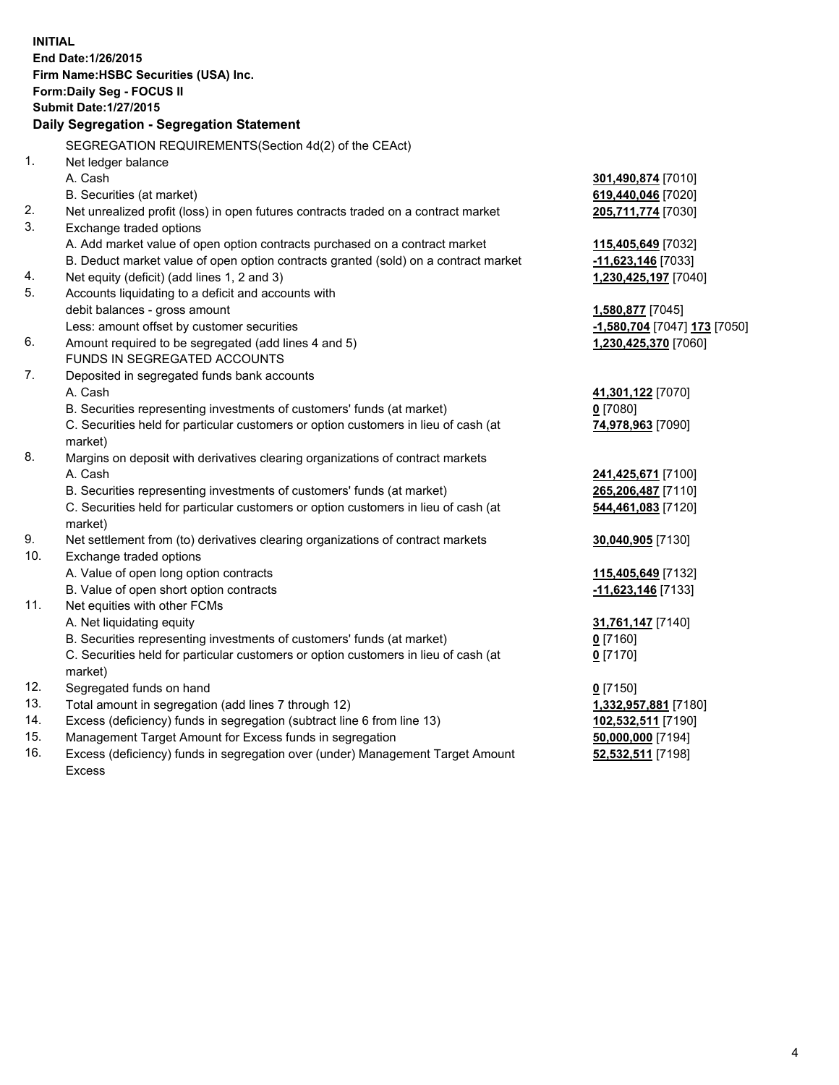| <b>INITIAL</b> | End Date: 1/26/2015<br>Firm Name: HSBC Securities (USA) Inc.<br>Form: Daily Seg - FOCUS II<br><b>Submit Date: 1/27/2015</b><br>Daily Segregation - Segregation Statement |                              |
|----------------|--------------------------------------------------------------------------------------------------------------------------------------------------------------------------|------------------------------|
|                |                                                                                                                                                                          |                              |
| 1.             | SEGREGATION REQUIREMENTS(Section 4d(2) of the CEAct)<br>Net ledger balance                                                                                               |                              |
|                | A. Cash                                                                                                                                                                  | 301,490,874 [7010]           |
|                | B. Securities (at market)                                                                                                                                                | 619,440,046 [7020]           |
| 2.             | Net unrealized profit (loss) in open futures contracts traded on a contract market                                                                                       | 205,711,774 [7030]           |
| 3.             | Exchange traded options                                                                                                                                                  |                              |
|                | A. Add market value of open option contracts purchased on a contract market                                                                                              | 115,405,649 [7032]           |
|                | B. Deduct market value of open option contracts granted (sold) on a contract market                                                                                      | -11,623,146 [7033]           |
| 4.             | Net equity (deficit) (add lines 1, 2 and 3)                                                                                                                              | 1,230,425,197 [7040]         |
| 5.             | Accounts liquidating to a deficit and accounts with                                                                                                                      |                              |
|                | debit balances - gross amount                                                                                                                                            | 1,580,877 [7045]             |
|                | Less: amount offset by customer securities                                                                                                                               | -1,580,704 [7047] 173 [7050] |
| 6.             | Amount required to be segregated (add lines 4 and 5)                                                                                                                     | 1,230,425,370 [7060]         |
|                | FUNDS IN SEGREGATED ACCOUNTS                                                                                                                                             |                              |
| 7.             | Deposited in segregated funds bank accounts                                                                                                                              |                              |
|                | A. Cash                                                                                                                                                                  | 41,301,122 [7070]            |
|                | B. Securities representing investments of customers' funds (at market)                                                                                                   | $0$ [7080]                   |
|                | C. Securities held for particular customers or option customers in lieu of cash (at<br>market)                                                                           | 74,978,963 [7090]            |
| 8.             | Margins on deposit with derivatives clearing organizations of contract markets                                                                                           |                              |
|                | A. Cash                                                                                                                                                                  | 241,425,671 [7100]           |
|                | B. Securities representing investments of customers' funds (at market)                                                                                                   | 265,206,487 [7110]           |
|                | C. Securities held for particular customers or option customers in lieu of cash (at<br>market)                                                                           | 544,461,083 [7120]           |
| 9.             | Net settlement from (to) derivatives clearing organizations of contract markets                                                                                          | 30,040,905 [7130]            |
| 10.            | Exchange traded options                                                                                                                                                  |                              |
|                | A. Value of open long option contracts                                                                                                                                   | 115,405,649 [7132]           |
|                | B. Value of open short option contracts                                                                                                                                  | -11,623,146 [7133]           |
| 11.            | Net equities with other FCMs                                                                                                                                             |                              |
|                | A. Net liquidating equity                                                                                                                                                | 31,761,147 [7140]            |
|                | B. Securities representing investments of customers' funds (at market)                                                                                                   | $0$ [7160]                   |
|                | C. Securities held for particular customers or option customers in lieu of cash (at<br>market)                                                                           | $0$ [7170]                   |
| 12.            | Segregated funds on hand                                                                                                                                                 | $0$ [7150]                   |
| 13.            | Total amount in segregation (add lines 7 through 12)                                                                                                                     | 1,332,957,881 [7180]         |
| 14.            | Excess (deficiency) funds in segregation (subtract line 6 from line 13)                                                                                                  | 102,532,511 [7190]           |
| 15.            | Management Target Amount for Excess funds in segregation                                                                                                                 | 50,000,000 [7194]            |
| 16.            | Excess (deficiency) funds in segregation over (under) Management Target Amount<br><b>Excess</b>                                                                          | 52,532,511 [7198]            |